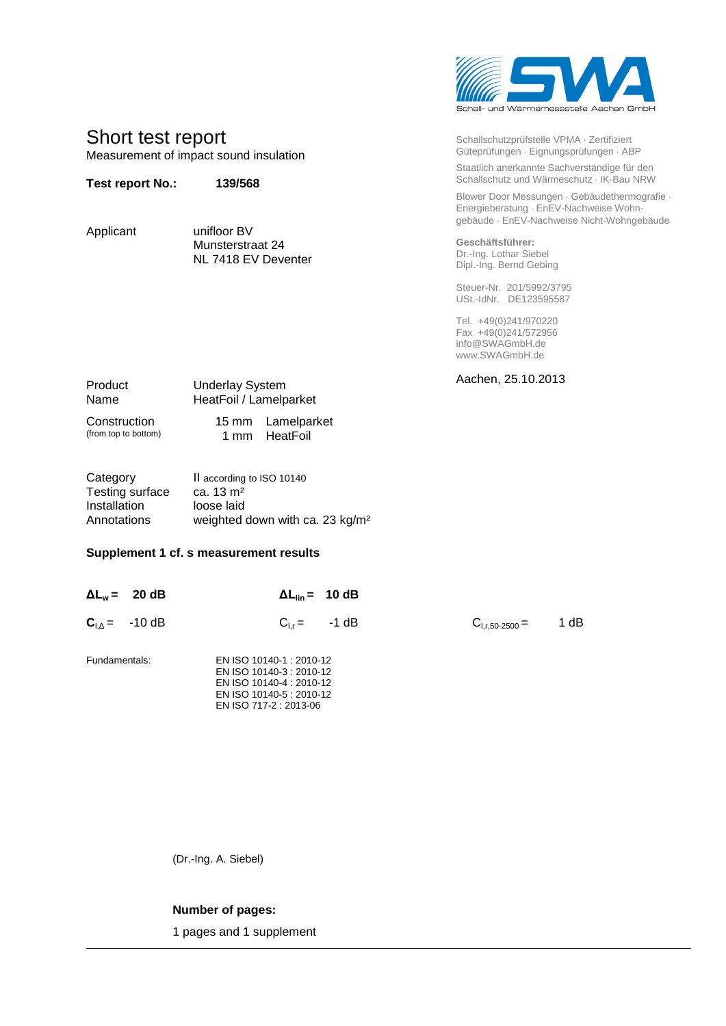

| Schallschutzprüfstelle VPMA · Zertifiziert<br>Güteprüfungen · Eignungsprüfungen · ABP     |
|-------------------------------------------------------------------------------------------|
| Staatlich anerkannte Sachverständige für den<br>Schallschutz und Wärmeschutz · IK-Bau NRW |

Blower Door Messungen · Gebäudethermografie · Energieberatung · EnEV-Nachweise Wohngebäude EnEV-Nachweise Nicht-Wohngebäude

**Geschäftsführer:** Dr.-Ing. Lothar Siebel Dipl.-Ing. Bernd Gebing

Steuer-Nr. 201/5992/3795 USt.-IdNr. DE123595587

Tel. +49(0)241/970220 Fax +49(0)241/572956 info@SWAGmbH.de www.SWAGmbH.de

Aachen, 25.10.2013

Product Underlay System Name HeatFoil / Lamelparket

Construction 15 mm Lamelparket<br>
(from top to bottom) 1 mm HeatFoil

Short test report

**Test report No.: 139/568**

Applicant unifloor BV

Measurement of impact sound insulation

1 mm HeatFoil

| Category        | Il according to ISO 10140                   |
|-----------------|---------------------------------------------|
| Testing surface | ca. $13 \text{ m}^2$                        |
| Installation    | loose laid                                  |
| Annotations     | weighted down with ca. 23 kg/m <sup>2</sup> |

Munsterstraat 24 NL 7418 EV Deventer

## **Supplement 1 cf. s measurement results**

|               | $\Delta L_w = 20 \text{ dB}$ |                                                                                                                                        | $\Delta L_{\text{lin}} = 10 \text{ dB}$ |                     |      |
|---------------|------------------------------|----------------------------------------------------------------------------------------------------------------------------------------|-----------------------------------------|---------------------|------|
|               | $C_{I \Delta} = -10 dB$      |                                                                                                                                        | $C_{1r} = -1 dB$                        | $C_{1,r,50-2500} =$ | 1 dB |
| Fundamentals: |                              | EN ISO 10140-1 : 2010-12<br>EN ISO 10140-3 : 2010-12<br>EN ISO 10140-4 : 2010-12<br>EN ISO 10140-5 : 2010-12<br>EN ISO 717-2 : 2013-06 |                                         |                     |      |

(Dr.-Ing. A. Siebel)

## **Number of pages:**

1 pages and 1 supplement